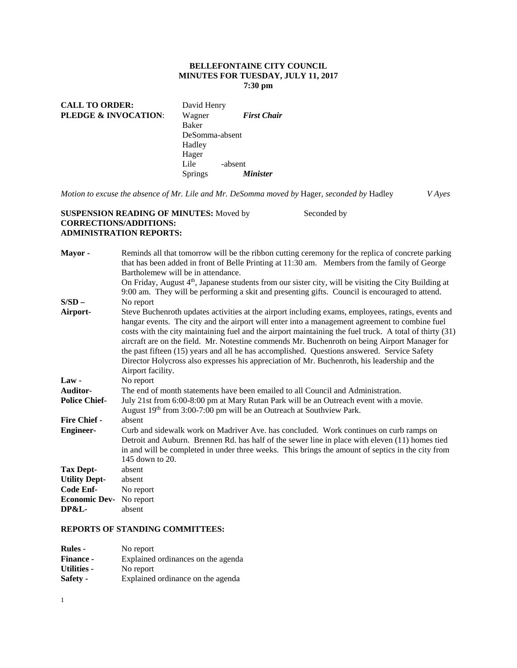## **BELLEFONTAINE CITY COUNCIL MINUTES FOR TUESDAY, JULY 11, 2017 7:30 pm**

**CALL TO ORDER:** David Henry **PLEDGE & INVOCATION**: Wagner *First Chair* Baker DeSomma-absent Hadley Hager<br>Lile -absent Springs *Minister* 

*Motion to excuse the absence of Mr. Lile and Mr. DeSomma moved by* Hager, *seconded by* Hadley *V Ayes* 

## **SUSPENSION READING OF MINUTES:** Moved by Seconded by **CORRECTIONS/ADDITIONS: ADMINISTRATION REPORTS:**

| Mayor-               | Reminds all that tomorrow will be the ribbon cutting ceremony for the replica of concrete parking       |
|----------------------|---------------------------------------------------------------------------------------------------------|
|                      | that has been added in front of Belle Printing at 11:30 am. Members from the family of George           |
|                      | Bartholemew will be in attendance.                                                                      |
|                      | On Friday, August $4th$ , Japanese students from our sister city, will be visiting the City Building at |
|                      | 9:00 am. They will be performing a skit and presenting gifts. Council is encouraged to attend.          |
| $S/SD -$             | No report                                                                                               |
| Airport-             | Steve Buchenroth updates activities at the airport including exams, employees, ratings, events and      |
|                      | hangar events. The city and the airport will enter into a management agreement to combine fuel          |
|                      | costs with the city maintaining fuel and the airport maintaining the fuel truck. A total of thirty (31) |
|                      | aircraft are on the field. Mr. Notestine commends Mr. Buchenroth on being Airport Manager for           |
|                      | the past fifteen (15) years and all he has accomplished. Questions answered. Service Safety             |
|                      | Director Holycross also expresses his appreciation of Mr. Buchenroth, his leadership and the            |
|                      | Airport facility.                                                                                       |
| $Law -$              | No report                                                                                               |
| Auditor-             | The end of month statements have been emailed to all Council and Administration.                        |
| <b>Police Chief-</b> | July 21st from 6:00-8:00 pm at Mary Rutan Park will be an Outreach event with a movie.                  |
|                      | August 19 <sup>th</sup> from 3:00-7:00 pm will be an Outreach at Southview Park.                        |
| Fire Chief -         | absent                                                                                                  |
| <b>Engineer-</b>     | Curb and sidewalk work on Madriver Ave. has concluded. Work continues on curb ramps on                  |
|                      | Detroit and Auburn. Brennen Rd. has half of the sewer line in place with eleven (11) homes tied         |
|                      | in and will be completed in under three weeks. This brings the amount of septics in the city from       |
|                      | 145 down to 20.                                                                                         |
| <b>Tax Dept-</b>     | absent                                                                                                  |
| <b>Utility Dept-</b> | absent                                                                                                  |
| Code Enf-            | No report                                                                                               |
| <b>Economic Dev-</b> | No report                                                                                               |
| <b>DP&amp;L-</b>     | absent                                                                                                  |

# **REPORTS OF STANDING COMMITTEES:**

| <b>Rules -</b>   | No report                          |
|------------------|------------------------------------|
| <b>Finance -</b> | Explained ordinances on the agenda |
| Utilities -      | No report                          |
| <b>Safety -</b>  | Explained ordinance on the agenda  |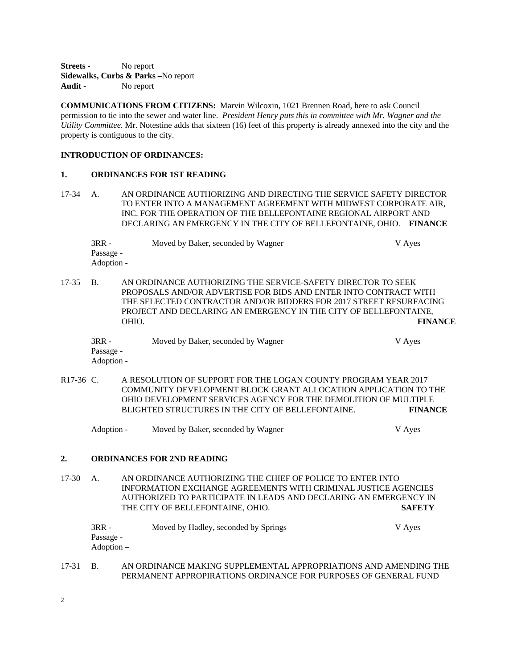**Streets -** No report **Sidewalks, Curbs & Parks –**No report **Audit -** No report

**COMMUNICATIONS FROM CITIZENS:** Marvin Wilcoxin, 1021 Brennen Road, here to ask Council permission to tie into the sewer and water line. *President Henry puts this in committee with Mr. Wagner and the Utility Committee.* Mr. Notestine adds that sixteen (16) feet of this property is already annexed into the city and the property is contiguous to the city.

## **INTRODUCTION OF ORDINANCES:**

#### **1. ORDINANCES FOR 1ST READING**

17-34 A. AN ORDINANCE AUTHORIZING AND DIRECTING THE SERVICE SAFETY DIRECTOR TO ENTER INTO A MANAGEMENT AGREEMENT WITH MIDWEST CORPORATE AIR, INC. FOR THE OPERATION OF THE BELLEFONTAINE REGIONAL AIRPORT AND DECLARING AN EMERGENCY IN THE CITY OF BELLEFONTAINE, OHIO. **FINANCE** 

3RR - Moved by Baker, seconded by Wagner V Ayes Passage - Adoption -

17-35 B. AN ORDINANCE AUTHORIZING THE SERVICE-SAFETY DIRECTOR TO SEEK PROPOSALS AND/OR ADVERTISE FOR BIDS AND ENTER INTO CONTRACT WITH THE SELECTED CONTRACTOR AND/OR BIDDERS FOR 2017 STREET RESURFACING PROJECT AND DECLARING AN EMERGENCY IN THE CITY OF BELLEFONTAINE, OHIO. **FINANCE**

| $3RR -$    | Moved by Baker, seconded by Wagner | V Ayes |
|------------|------------------------------------|--------|
| Passage -  |                                    |        |
| Adoption - |                                    |        |

R17-36 C. A RESOLUTION OF SUPPORT FOR THE LOGAN COUNTY PROGRAM YEAR 2017 COMMUNITY DEVELOPMENT BLOCK GRANT ALLOCATION APPLICATION TO THE OHIO DEVELOPMENT SERVICES AGENCY FOR THE DEMOLITION OF MULTIPLE BLIGHTED STRUCTURES IN THE CITY OF BELLEFONTAINE. **FINANCE** 

Adoption - Moved by Baker, seconded by Wagner V Ayes

### **2. ORDINANCES FOR 2ND READING**

17-30 A. AN ORDINANCE AUTHORIZING THE CHIEF OF POLICE TO ENTER INTO INFORMATION EXCHANGE AGREEMENTS WITH CRIMINAL JUSTICE AGENCIES AUTHORIZED TO PARTICIPATE IN LEADS AND DECLARING AN EMERGENCY IN THE CITY OF BELLEFONTAINE, OHIO. **SAFETY** 

| $3RR -$    | Moved by Hadley, seconded by Springs | V Ayes |
|------------|--------------------------------------|--------|
| Passage -  |                                      |        |
| Adoption – |                                      |        |

17-31 B. AN ORDINANCE MAKING SUPPLEMENTAL APPROPRIATIONS AND AMENDING THE PERMANENT APPROPIRATIONS ORDINANCE FOR PURPOSES OF GENERAL FUND

2